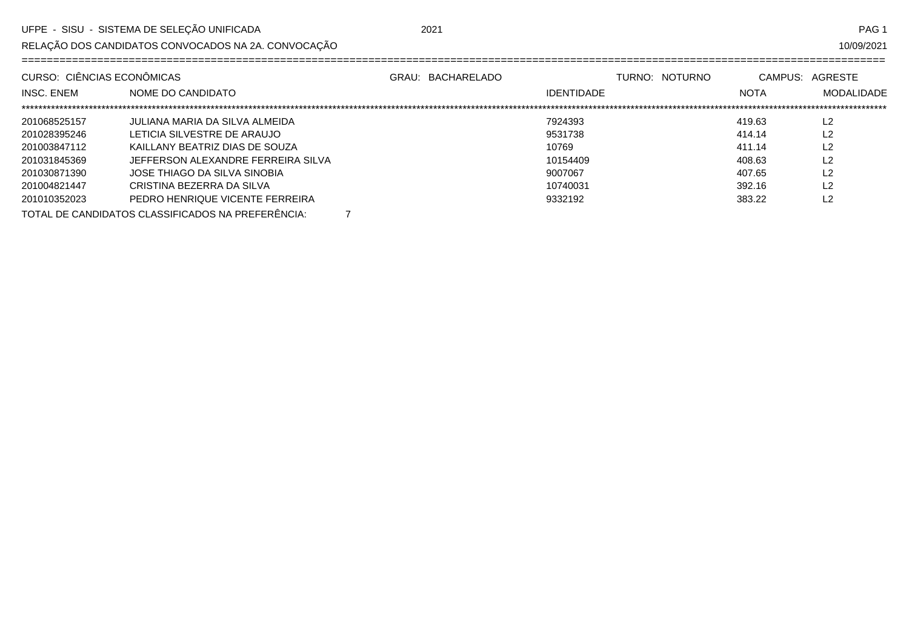RELAÇÃO DOS CANDIDATOS CONVOCADOS NA 2A. CONVOCAÇÃO

10/09/2021

| CURSO: CIÊNCIAS ECONÔMICAS |                                                   | GRAU: BACHARELADO | TURNO: NOTURNO    |             | CAMPUS: AGRESTE   |  |  |  |
|----------------------------|---------------------------------------------------|-------------------|-------------------|-------------|-------------------|--|--|--|
| <b>INSC. ENEM</b>          | NOME DO CANDIDATO                                 |                   | <b>IDENTIDADE</b> | <b>NOTA</b> | <b>MODALIDADE</b> |  |  |  |
|                            |                                                   |                   |                   |             |                   |  |  |  |
| 201068525157               | JULIANA MARIA DA SILVA ALMEIDA                    |                   | 7924393           | 419.63      | L2                |  |  |  |
| 201028395246               | LETICIA SILVESTRE DE ARAUJO                       |                   | 9531738           | 414.14      | L2                |  |  |  |
| 201003847112               | KAILLANY BEATRIZ DIAS DE SOUZA                    |                   | 10769             | 411.14      | L2                |  |  |  |
| 201031845369               | JEFFERSON ALEXANDRE FERREIRA SILVA                |                   | 10154409          | 408.63      | L2                |  |  |  |
| 201030871390               | JOSE THIAGO DA SILVA SINOBIA                      |                   | 9007067           | 407.65      | L2                |  |  |  |
| 201004821447               | CRISTINA BEZERRA DA SILVA                         |                   | 10740031          | 392.16      | L <sub>2</sub>    |  |  |  |
| 201010352023               | PEDRO HENRIQUE VICENTE FERREIRA                   |                   | 9332192           | 383.22      | L2                |  |  |  |
|                            | TOTAL DE CANDIDATOS CLASSIFICADOS NA PREFERÊNCIA: |                   |                   |             |                   |  |  |  |

TOTAL DE CANDIDATOS CLASSIFICADOS NA PREFERÊNCIA: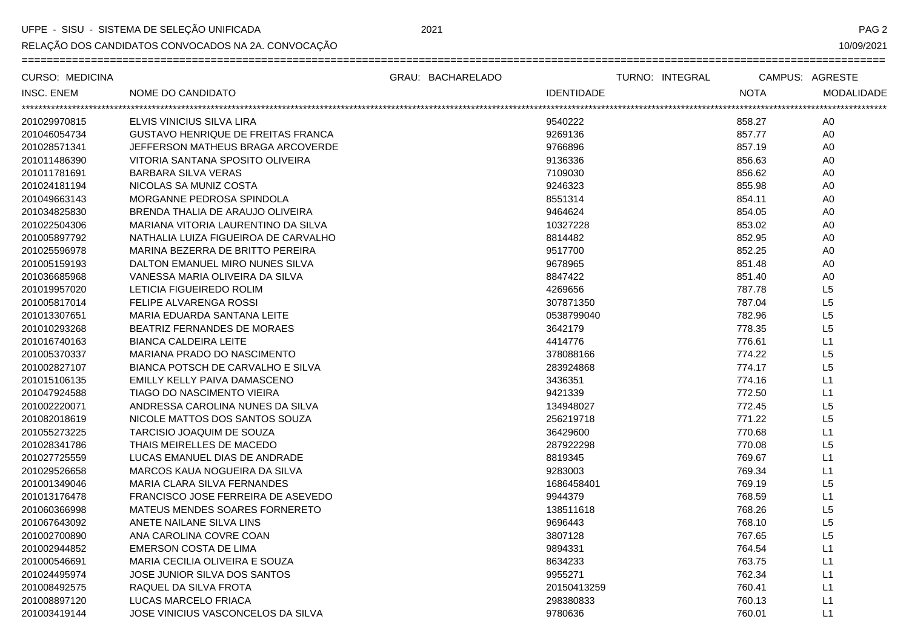UFPE - SISU - SISTEMA DE SELEÇÃO UNIFICADA

RELAÇÃO DOS CANDIDATOS CONVOCADOS NA 2A. CONVOCAÇÃO

PAG<sub>2</sub>

10/09/2021

|                                                           | GRAU: BACHARELADO<br>TURNO: INTEGRAL | CAMPUS: AGRESTE                  |
|-----------------------------------------------------------|--------------------------------------|----------------------------------|
| <b>INSC. ENEM</b><br>NOME DO CANDIDATO                    | <b>IDENTIDADE</b>                    | <b>NOTA</b><br><b>MODALIDADE</b> |
| ***********************                                   |                                      |                                  |
| 201029970815<br>ELVIS VINICIUS SILVA LIRA                 | 9540222                              | 858.27<br>A <sub>0</sub>         |
| 201046054734<br><b>GUSTAVO HENRIQUE DE FREITAS FRANCA</b> | 9269136                              | 857.77<br>A <sub>0</sub>         |
| 201028571341<br>JEFFERSON MATHEUS BRAGA ARCOVERDE         | 9766896                              | 857.19<br>A <sub>0</sub>         |
| 201011486390<br>VITORIA SANTANA SPOSITO OLIVEIRA          | 9136336                              | 856.63<br>A <sub>0</sub>         |
| 201011781691<br><b>BARBARA SILVA VERAS</b>                | 7109030                              | 856.62<br>A0                     |
| 201024181194<br>NICOLAS SA MUNIZ COSTA                    | 9246323                              | 855.98<br>A <sub>0</sub>         |
| 201049663143<br>MORGANNE PEDROSA SPINDOLA                 | 8551314                              | 854.11<br>A <sub>0</sub>         |
| 201034825830<br>BRENDA THALIA DE ARAUJO OLIVEIRA          | 9464624                              | 854.05<br>A <sub>0</sub>         |
| 201022504306<br>MARIANA VITORIA LAURENTINO DA SILVA       | 10327228                             | 853.02<br>A <sub>0</sub>         |
| 201005897792<br>NATHALIA LUIZA FIGUEIROA DE CARVALHO      | 8814482                              | 852.95<br>A <sub>0</sub>         |
| 201025596978<br>MARINA BEZERRA DE BRITTO PEREIRA          | 9517700                              | 852.25<br>A <sub>0</sub>         |
| 201005159193<br>DALTON EMANUEL MIRO NUNES SILVA           | 9678965                              | 851.48<br>A <sub>0</sub>         |
| 201036685968<br>VANESSA MARIA OLIVEIRA DA SILVA           | 8847422                              | A <sub>0</sub><br>851.40         |
| 201019957020<br>LETICIA FIGUEIREDO ROLIM                  | 4269656                              | 787.78<br>L5                     |
| 201005817014<br>FELIPE ALVARENGA ROSSI                    | 307871350                            | L <sub>5</sub><br>787.04         |
| 201013307651<br>MARIA EDUARDA SANTANA LEITE               | 0538799040                           | L <sub>5</sub><br>782.96         |
| 201010293268<br>BEATRIZ FERNANDES DE MORAES               | 3642179                              | L5<br>778.35                     |
| 201016740163<br><b>BIANCA CALDEIRA LEITE</b>              | 4414776                              | L1<br>776.61                     |
| 201005370337<br>MARIANA PRADO DO NASCIMENTO               | 378088166                            | L <sub>5</sub><br>774.22         |
| 201002827107<br>BIANCA POTSCH DE CARVALHO E SILVA         | 283924868                            | L5<br>774.17                     |
| 201015106135<br>EMILLY KELLY PAIVA DAMASCENO              | 3436351                              | L1<br>774.16                     |
| 201047924588<br><b>TIAGO DO NASCIMENTO VIEIRA</b>         | 9421339                              | L1<br>772.50                     |
| 201002220071<br>ANDRESSA CAROLINA NUNES DA SILVA          | 134948027                            | L <sub>5</sub><br>772.45         |
| NICOLE MATTOS DOS SANTOS SOUZA<br>201082018619            | 256219718                            | L <sub>5</sub><br>771.22         |
| 201055273225<br>TARCISIO JOAQUIM DE SOUZA                 | 36429600                             | L1<br>770.68                     |
| 201028341786<br>THAIS MEIRELLES DE MACEDO                 | 287922298                            | L <sub>5</sub><br>770.08         |
| 201027725559<br>LUCAS EMANUEL DIAS DE ANDRADE             | 8819345                              | L1<br>769.67                     |
| 201029526658<br>MARCOS KAUA NOGUEIRA DA SILVA             | 9283003                              | L1<br>769.34                     |
| 201001349046<br>MARIA CLARA SILVA FERNANDES               | 1686458401                           | L5<br>769.19                     |
| 201013176478<br>FRANCISCO JOSE FERREIRA DE ASEVEDO        | 9944379                              | L1<br>768.59                     |
| 201060366998<br>MATEUS MENDES SOARES FORNERETO            | 138511618                            | L <sub>5</sub><br>768.26         |
| ANETE NAILANE SILVA LINS<br>201067643092                  | 9696443                              | L <sub>5</sub><br>768.10         |
| 201002700890<br>ANA CAROLINA COVRE COAN                   | 3807128                              | L5<br>767.65                     |
| 201002944852<br>EMERSON COSTA DE LIMA                     | 9894331                              | L1<br>764.54                     |
| MARIA CECILIA OLIVEIRA E SOUZA<br>201000546691            | 8634233                              | L1<br>763.75                     |
| 201024495974<br>JOSE JUNIOR SILVA DOS SANTOS              | 9955271                              | 762.34<br>L1                     |
| 201008492575<br>RAQUEL DA SILVA FROTA                     | 20150413259                          | L1<br>760.41                     |
| 201008897120<br>LUCAS MARCELO FRIACA                      | 298380833                            | L1<br>760.13                     |
| JOSE VINICIUS VASCONCELOS DA SILVA<br>201003419144        | 9780636                              | L1<br>760.01                     |

2021